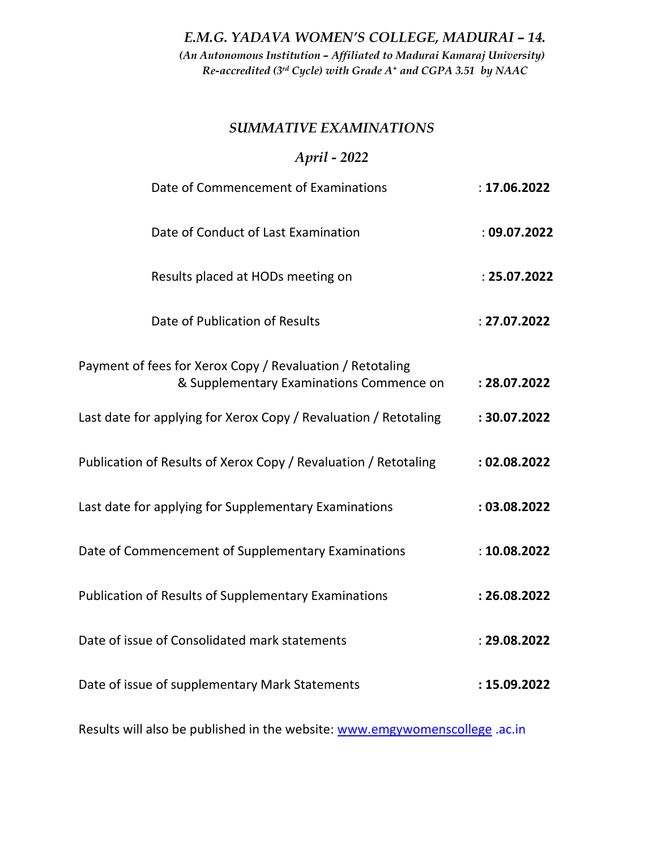*E.M.G. YADAVA WOMEN'S COLLEGE, MADURAI – 14.* 

 *(An Autonomous Institution – Affiliated to Madurai Kamaraj University) Re-accredited (3rd Cycle) with Grade A+ and CGPA 3.51 by NAAC*

#### *SUMMATIVE EXAMINATIONS*

#### *April - 2022*

| Date of Commencement of Examinations                                                                  | : 17.06.2022 |
|-------------------------------------------------------------------------------------------------------|--------------|
| Date of Conduct of Last Examination                                                                   | : 09.07.2022 |
| Results placed at HODs meeting on                                                                     | : 25.07.2022 |
| Date of Publication of Results                                                                        | : 27.07.2022 |
| Payment of fees for Xerox Copy / Revaluation / Retotaling<br>& Supplementary Examinations Commence on | : 28.07.2022 |
| Last date for applying for Xerox Copy / Revaluation / Retotaling                                      | : 30.07.2022 |
| Publication of Results of Xerox Copy / Revaluation / Retotaling                                       | : 02.08.2022 |
| Last date for applying for Supplementary Examinations                                                 | : 03.08.2022 |
| Date of Commencement of Supplementary Examinations                                                    | : 10.08.2022 |
| Publication of Results of Supplementary Examinations                                                  | : 26.08.2022 |
| Date of issue of Consolidated mark statements                                                         | : 29.08.2022 |
| Date of issue of supplementary Mark Statements                                                        | : 15.09.2022 |
|                                                                                                       |              |

Results will also be published in the website: www.emgywomenscollege .ac.in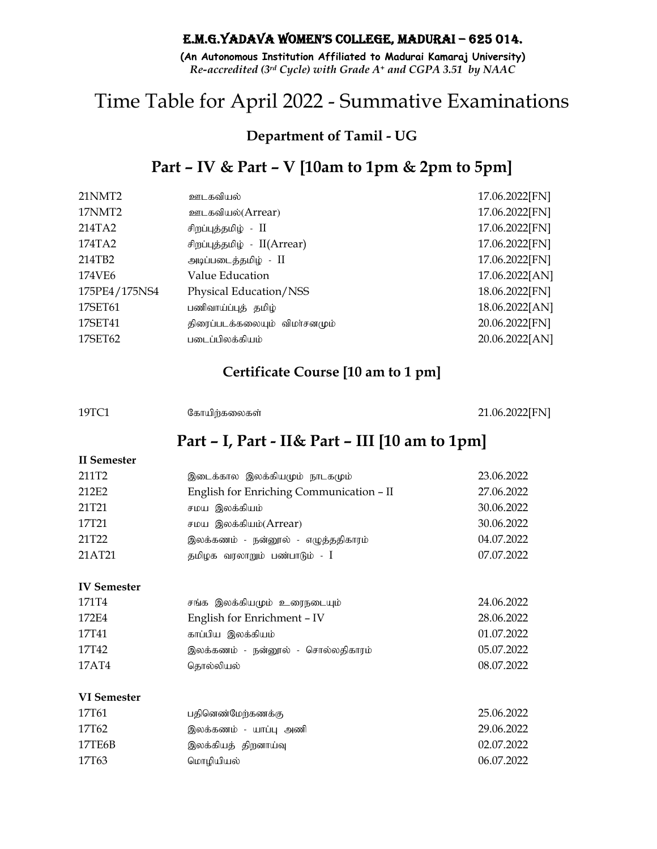#### E.M.G.YADAVA WOMEN'S COLLEGE, MADURAI – 625 014.

**(An Autonomous Institution Affiliated to Madurai Kamaraj University)** *Re-accredited (3rd Cycle) with Grade A+ and CGPA 3.51 by NAAC*

## Time Table for April 2022 - Summative Examinations

**Department of Tamil - UG**

#### **Part – IV & Part – V [10am to 1pm & 2pm to 5pm]**

| 21NMT2        | ஊடகவியல்                     | 17.06.2022[FN] |
|---------------|------------------------------|----------------|
| 17NMT2        | ஊடகவியல்(Arrear)             | 17.06.2022[FN] |
| 214TA2        | சிறப்புத்தமிழ் - II          | 17.06.2022[FN] |
| 174TA2        | சிறப்புத்தமிழ் - II(Arrear)  | 17.06.2022[FN] |
| 214TB2        | அடிப்படைத்தமிழ் - II         | 17.06.2022[FN] |
| 174VE6        | Value Education              | 17.06.2022[AN] |
| 175PE4/175NS4 | Physical Education/NSS       | 18.06.2022[FN] |
| 17SET61       | பணிவாய்ப்புத் தமிழ்          | 18.06.2022[AN] |
| 17SET41       | திரைப்படக்கலையும் விமாசனமும் | 20.06.2022[FN] |
| 17SET62       | படைப்பிலக்கியம்              | 20.06.2022[AN] |

#### **Certificate Course [10 am to 1 pm]**

| 19TC1 | கோயிற்கலைகள் | 21.06.2022[FN] |
|-------|--------------|----------------|
|       |              |                |

## **Part – I, Part - II& Part – III [10 am to 1pm]**

#### **II Semester**

| 211T <sub>2</sub>  | இடைக்கால இலக்கியமும் நாடகமும்            | 23.06.2022 |
|--------------------|------------------------------------------|------------|
| 212E2              | English for Enriching Communication - II | 27.06.2022 |
| 21T21              | சமய இலக்கியம்                            | 30.06.2022 |
| 17T <sub>21</sub>  | சமய இலக்கியம்(Arrear)                    | 30.06.2022 |
| 21T <sub>22</sub>  | இலக்கணம் - நன்னூல் - எழுத்ததிகாரம்       | 04.07.2022 |
| 21AT21             | தமிழக வரலாறும் பண்பாடும் - I             | 07.07.2022 |
| <b>IV</b> Semester |                                          |            |
| 171T4              | சங்க இலக்கியமும் உரைநடையும்              | 24.06.2022 |
| 172F4              | English for Enrichment – IV              | 28.06.2022 |
| 17T41              | காப்பிய இலக்கியம்                        | 01.07.2022 |
| 17T42              | இலக்கணம் - நன்னூல் - சொல்லதிகாரம்        | 05.07.2022 |
| 17AT4              | தொல்லியல்                                | 08.07.2022 |
|                    |                                          |            |

#### **VI Semester**

| 17T61  | பதினெண்மேற்கணக்கு    | 25.06.2022 |
|--------|----------------------|------------|
| 17T62  | இலக்கணம் - யாப்ப அணி | 29.06.2022 |
| 17TE6B | இலக்கியத் திறனாய்வு  | 02.07.2022 |
| 17T63  | மொமியியல்            | 06.07.2022 |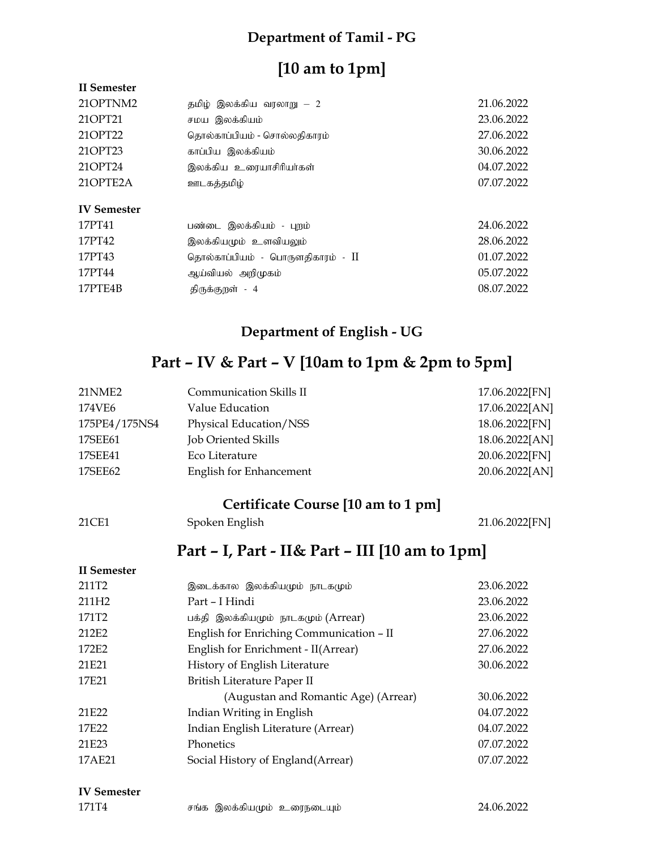#### **Department of Tamil - PG**

## **[10 am to 1pm]**

#### **II Semester**

| 21OPTNM2               | தமிழ் இலக்கிய வரலாறு $-2$         | 21.06.2022 |
|------------------------|-----------------------------------|------------|
| 21 OPT 21              | சமய இலக்கியம்                     | 23.06.2022 |
| 21 OPT 22              | தொல்காப்பியம் - சொல்லதிகாரம்      | 27.06.2022 |
| 21OPT23                | காப்பிய இலக்கியம்                 | 30.06.2022 |
| 21OPT24                | இலக்கிய உரையாசிரியா்கள்           | 04.07.2022 |
| 21 OPTE <sub>2</sub> A | ஊடகத்தமிழ்                        | 07.07.2022 |
|                        |                                   |            |
|                        |                                   |            |
| <b>IV Semester</b>     |                                   |            |
| 17PT41                 | பண்டை இலக்கியம் - புறம்           | 24.06.2022 |
| 17PT42                 | இலக்கியமும் உளவியலும்             | 28.06.2022 |
| 17PT43                 | தொல்காப்பியம் - பொருளதிகாரம் - II | 01.07.2022 |
| 17PT44                 | ஆய்வியல் அறிமுகம்                 | 05.07.2022 |
| 17PTE4B                | திருக்குறள் - 4                   | 08.07.2022 |

#### **Department of English - UG**

## **Part – IV & Part – V [10am to 1pm & 2pm to 5pm]**

| 21 NME <sub>2</sub> | <b>Communication Skills II</b>                 | 17.06.2022[FN] |
|---------------------|------------------------------------------------|----------------|
| 174VE6              | Value Education                                | 17.06.2022[AN] |
| 175PE4/175NS4       | Physical Education/NSS                         | 18.06.2022[FN] |
| 17SEE61             | Job Oriented Skills                            | 18.06.2022[AN] |
| 17SEE41             | Eco Literature                                 | 20.06.2022[FN] |
| 17SEE62             | <b>English for Enhancement</b>                 | 20.06.2022[AN] |
|                     | Certificate Course [10 am to 1 pm]             |                |
| 21CE1               | Spoken English                                 | 21.06.2022[FN] |
|                     | Part - I, Part - II& Part - III [10 am to 1pm] |                |
| <b>II</b> Semester  |                                                |                |
| 211T2               | இடைக்கால இலக்கியமும் நாடகமும்                  | 23.06.2022     |
| 211H <sub>2</sub>   | Part - I Hindi                                 | 23.06.2022     |
| 171T <sub>2</sub>   | பக்தி இலக்கியமும் நாடகமும் (Arrear)            | 23.06.2022     |
| 212E2               | English for Enriching Communication - II       | 27.06.2022     |
| 172E2               | English for Enrichment - II(Arrear)            | 27.06.2022     |
| 21E21               | History of English Literature                  | 30.06.2022     |
| 17E21               | British Literature Paper II                    |                |
|                     | (Augustan and Romantic Age) (Arrear)           | 30.06.2022     |
| 21E22               | Indian Writing in English                      | 04.07.2022     |
| 17E22               | Indian English Literature (Arrear)             | 04.07.2022     |
| 21E23               | Phonetics                                      | 07.07.2022     |
| 17AE21              | Social History of England(Arrear)              | 07.07.2022     |

#### **IV Semester**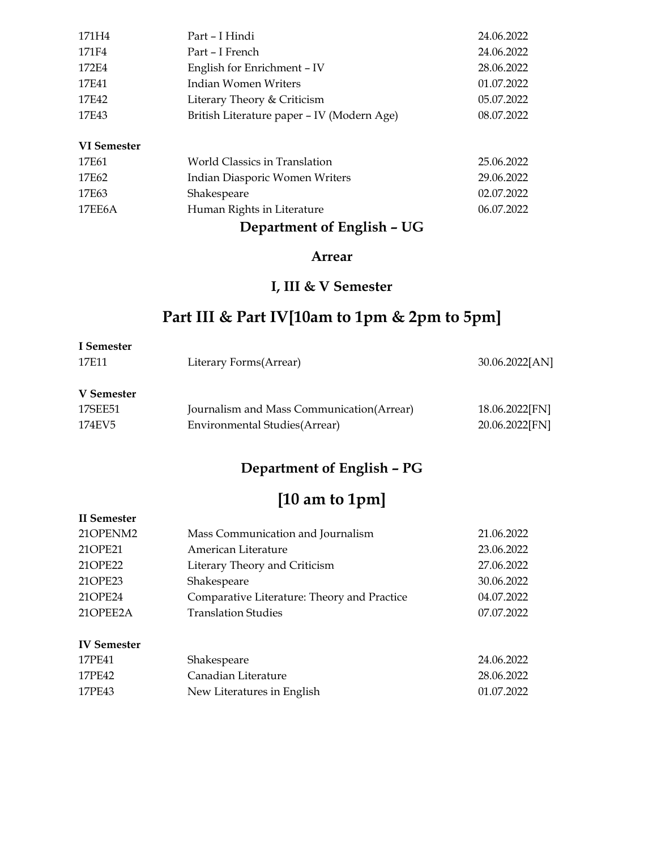| 171H4              | Part – I Hindi                             | 24.06.2022 |
|--------------------|--------------------------------------------|------------|
| 171F4              | Part – I French                            | 24.06.2022 |
| 172E4              | English for Enrichment - IV                | 28.06.2022 |
| 17E41              | Indian Women Writers                       | 01.07.2022 |
| 17F.42             | Literary Theory & Criticism                | 05.07.2022 |
| 17E43              | British Literature paper - IV (Modern Age) | 08.07.2022 |
|                    |                                            |            |
| <b>VI</b> Semester |                                            |            |
| 17E61              | World Classics in Translation              | 25.06.2022 |
| 17E62              | Indian Diasporic Women Writers             | 29.06.2022 |
| 17E63              | Shakespeare                                | 02.07.2022 |
| 17EE6A             | Human Rights in Literature                 | 06.07.2022 |

## **Department of English – UG**

#### **Arrear**

#### **I, III & V Semester**

## **Part III & Part IV[10am to 1pm & 2pm to 5pm]**

| I Semester |                                            |                |
|------------|--------------------------------------------|----------------|
| 17E11      | Literary Forms (Arrear)                    | 30.06.2022[AN] |
| V Semester |                                            |                |
| 17SEE51    | Journalism and Mass Communication (Arrear) | 18.06.2022[FN] |
| 174EV5     | Environmental Studies (Arrear)             | 20.06.2022[FN] |

#### **Department of English – PG**

## **[10 am to 1pm]**

| <b>II</b> Semester |                                             |            |
|--------------------|---------------------------------------------|------------|
| 21OPENM2           | Mass Communication and Journalism           | 21.06.2022 |
| 21OPE21            | American Literature                         | 23.06.2022 |
| 21OPE22            | Literary Theory and Criticism               | 27.06.2022 |
| 21OPE23            | Shakespeare                                 | 30.06.2022 |
| 21OPE24            | Comparative Literature: Theory and Practice | 04.07.2022 |
| 21OPEE2A           | <b>Translation Studies</b>                  | 07.07.2022 |

#### **IV Semester**

| 17PE41 | Shakespeare                | 24.06.2022 |
|--------|----------------------------|------------|
| 17PE42 | Canadian Literature        | 28.06.2022 |
| 17PE43 | New Literatures in English | 01.07.2022 |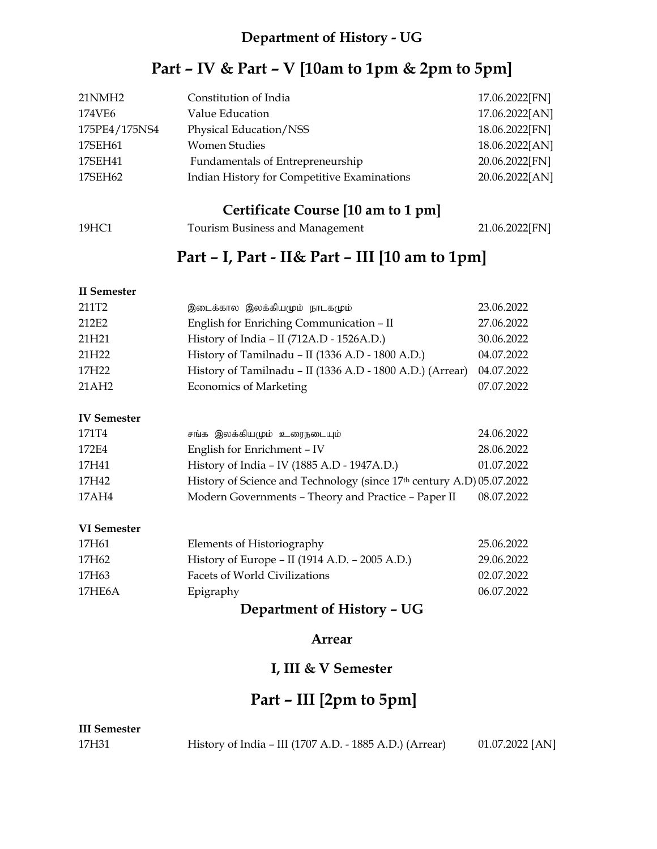## **Part – IV & Part – V [10am to 1pm & 2pm to 5pm]**

| 21NMH <sub>2</sub> | Constitution of India                       | 17.06.2022[FN] |
|--------------------|---------------------------------------------|----------------|
| 174VE6             | Value Education                             | 17.06.2022[AN] |
| 175PE4/175NS4      | Physical Education/NSS                      | 18.06.2022[FN] |
| 17SEH61            | <b>Women Studies</b>                        | 18.06.2022[AN] |
| 17SEH41            | Fundamentals of Entrepreneurship            | 20.06.2022[FN] |
| 17SEH62            | Indian History for Competitive Examinations | 20.06.2022[AN] |

#### **Certificate Course [10 am to 1 pm]**

19HC1 Tourism Business and Management 21.06.2022[FN]

#### **Part – I, Part - II& Part – III [10 am to 1pm]**

#### **II Semester**

| 211T2             | இடைக்கால இலக்கியமும் நாடகமும்                             | 23.06.2022 |
|-------------------|-----------------------------------------------------------|------------|
| 212E2             | English for Enriching Communication - II                  | 27.06.2022 |
| 21H21             | History of India - II (712A.D - 1526A.D.)                 | 30.06.2022 |
| 21H22             | History of Tamilnadu - II (1336 A.D - 1800 A.D.)          | 04.07.2022 |
| 17H <sub>22</sub> | History of Tamilnadu - II (1336 A.D - 1800 A.D.) (Arrear) | 04.07.2022 |
| 21 A H 2          | <b>Economics of Marketing</b>                             | 07.07.2022 |

#### **IV Semester**

| 171T4 | சங்க இலக்கியமும் உரைநடையும்                                           | 24.06.2022 |
|-------|-----------------------------------------------------------------------|------------|
| 172E4 | English for Enrichment - IV                                           | 28.06.2022 |
| 17H41 | History of India - IV (1885 A.D - 1947A.D.)                           | 01.07.2022 |
| 17H42 | History of Science and Technology (since 17th century A.D) 05.07.2022 |            |
| 17AH4 | Modern Governments - Theory and Practice - Paper II                   | 08.07.2022 |

#### **VI Semester**

| 17HE6A | Epigraphy                                      | 06.07.2022 |
|--------|------------------------------------------------|------------|
| 17H63  | Facets of World Civilizations                  | 02.07.2022 |
| 17H62  | History of Europe – II (1914 A.D. – 2005 A.D.) | 29.06.2022 |
| 17H61  | Elements of Historiography                     | 25.06.2022 |

**Department of History – UG** 

#### **Arrear**

#### **I, III & V Semester**

## **Part – III [2pm to 5pm]**

# **III Semester**

17H31 History of India - III (1707 A.D. - 1885 A.D.) (Arrear) 01.07.2022 [AN]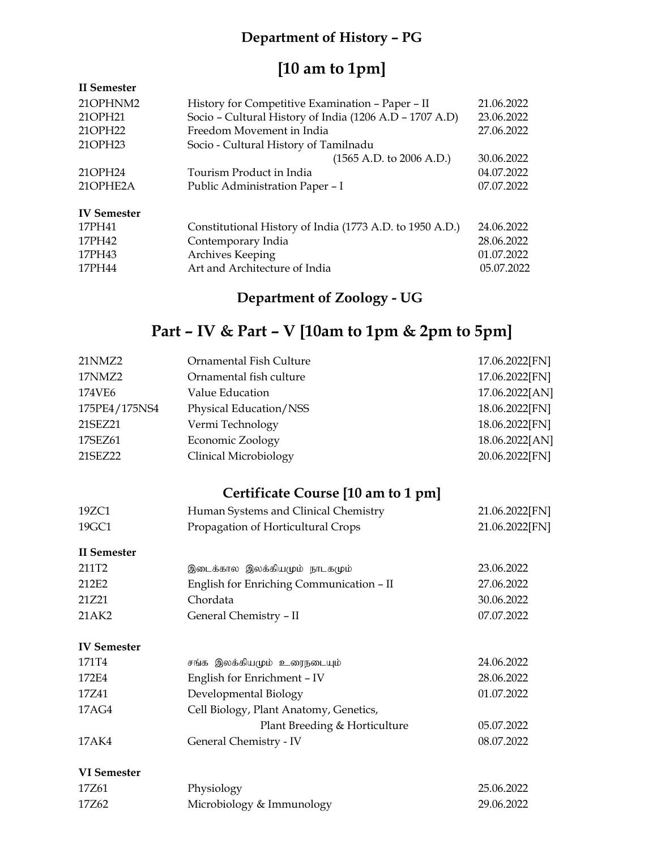## **Department of History – PG**

## **[10 am to 1pm]**

| II Semester            |                                                          |            |
|------------------------|----------------------------------------------------------|------------|
| 21 OPHNM <sub>2</sub>  | History for Competitive Examination - Paper - II         | 21.06.2022 |
| 21OPH21                | Socio - Cultural History of India (1206 A.D - 1707 A.D)  | 23.06.2022 |
| 21OPH22                | Freedom Movement in India                                | 27.06.2022 |
| 21OPH23                | Socio - Cultural History of Tamilnadu                    |            |
|                        | (1565 A.D. to 2006 A.D.)                                 | 30.06.2022 |
| 21 OP H 24             | Tourism Product in India                                 | 04.07.2022 |
| 21 OPHE <sub>2</sub> A | Public Administration Paper - I                          | 07.07.2022 |
|                        |                                                          |            |
| <b>IV</b> Semester     |                                                          |            |
| 17PH41                 | Constitutional History of India (1773 A.D. to 1950 A.D.) | 24.06.2022 |
| 17PH42                 | Contemporary India                                       | 28.06.2022 |
| 17PH43                 | Archives Keeping                                         | 01.07.2022 |
| 17PH44                 | Art and Architecture of India                            | 05.07.2022 |
|                        |                                                          |            |

## **Department of Zoology - UG**

| 21NMZ2             | <b>Ornamental Fish Culture</b>           | 17.06.2022[FN] |
|--------------------|------------------------------------------|----------------|
| 17NMZ2             | Ornamental fish culture                  | 17.06.2022[FN] |
| 174VE6             | Value Education                          | 17.06.2022[AN] |
| 175PE4/175NS4      | Physical Education/NSS                   | 18.06.2022[FN] |
| 21SEZ21            | Vermi Technology                         | 18.06.2022[FN] |
| 17SEZ61            | Economic Zoology                         | 18.06.2022[AN] |
| 21SEZ22            | Clinical Microbiology                    | 20.06.2022[FN] |
|                    | Certificate Course [10 am to 1 pm]       |                |
| 19ZC1              | Human Systems and Clinical Chemistry     | 21.06.2022[FN] |
| 19GC1              | Propagation of Horticultural Crops       | 21.06.2022[FN] |
| <b>II</b> Semester |                                          |                |
| 211T2              | இடைக்கால இலக்கியமும் நாடகமும்            | 23.06.2022     |
| 212E2              | English for Enriching Communication - II | 27.06.2022     |
| 21Z21              | Chordata                                 | 30.06.2022     |
| 21AK2              | General Chemistry - II                   | 07.07.2022     |
| <b>IV Semester</b> |                                          |                |
| 171T4              | சங்க இலக்கியமும் உரைநடையும்              | 24.06.2022     |
| 172E4              | English for Enrichment - IV              | 28.06.2022     |
| 17Z41              | Developmental Biology                    | 01.07.2022     |
| 17AG4              | Cell Biology, Plant Anatomy, Genetics,   |                |
|                    | Plant Breeding & Horticulture            | 05.07.2022     |
| 17AK4              | General Chemistry - IV                   | 08.07.2022     |
| <b>VI</b> Semester |                                          |                |
| 17Z61              | Physiology                               | 25.06.2022     |
| 17Z62              | Microbiology & Immunology                | 29.06.2022     |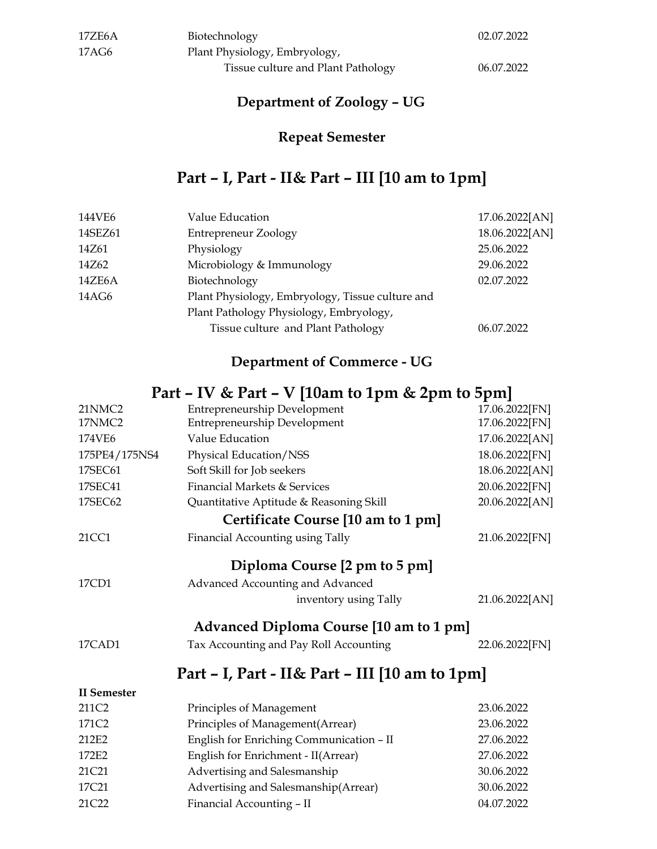| 17ZE6A | Biotechnology                      | 02.07.2022 |
|--------|------------------------------------|------------|
| 17AG6  | Plant Physiology, Embryology,      |            |
|        | Tissue culture and Plant Pathology | 06.07.2022 |

## **Department of Zoology – UG**

#### **Repeat Semester**

## **Part – I, Part - II& Part – III [10 am to 1pm]**

| 144VE6  | Value Education                                  | 17.06.2022[AN] |
|---------|--------------------------------------------------|----------------|
| 14SEZ61 | Entrepreneur Zoology                             | 18.06.2022[AN] |
| 14Z61   | Physiology                                       | 25.06.2022     |
| 14Z62   | Microbiology & Immunology                        | 29.06.2022     |
| 14ZE6A  | Biotechnology                                    | 02.07.2022     |
| 14AG6   | Plant Physiology, Embryology, Tissue culture and |                |
|         | Plant Pathology Physiology, Embryology,          |                |
|         | Tissue culture and Plant Pathology               | 06.07.2022     |

## **Department of Commerce - UG**

| 21NMC2             | <b>Entrepreneurship Development</b>            | 17.06.2022[FN] |
|--------------------|------------------------------------------------|----------------|
| 17NMC2             | Entrepreneurship Development                   | 17.06.2022[FN] |
| 174VE6             | Value Education                                | 17.06.2022[AN] |
| 175PE4/175NS4      | Physical Education/NSS                         | 18.06.2022[FN] |
| 17SEC61            | Soft Skill for Job seekers                     | 18.06.2022[AN] |
| 17SEC41            | Financial Markets & Services                   | 20.06.2022[FN] |
| 17SEC62            | Quantitative Aptitude & Reasoning Skill        | 20.06.2022[AN] |
|                    | Certificate Course [10 am to 1 pm]             |                |
| 21CC1              | Financial Accounting using Tally               | 21.06.2022[FN] |
|                    | Diploma Course [2 pm to 5 pm]                  |                |
| 17CD1              | Advanced Accounting and Advanced               |                |
|                    | inventory using Tally                          | 21.06.2022[AN] |
|                    | Advanced Diploma Course [10 am to 1 pm]        |                |
| 17CAD1             | Tax Accounting and Pay Roll Accounting         | 22.06.2022[FN] |
|                    | Part - I, Part - II& Part - III [10 am to 1pm] |                |
| <b>II</b> Semester |                                                |                |
| 211C2              | Principles of Management                       | 23.06.2022     |
| 171C <sub>2</sub>  | Principles of Management(Arrear)               | 23.06.2022     |
| 212E2              | English for Enriching Communication - II       | 27.06.2022     |
| 172E2              | English for Enrichment - II(Arrear)            | 27.06.2022     |
| 21C21              | Advertising and Salesmanship                   | 30.06.2022     |
| 17C21              | Advertising and Salesmanship(Arrear)           | 30.06.2022     |
| 21C22              | Financial Accounting - II                      | 04.07.2022     |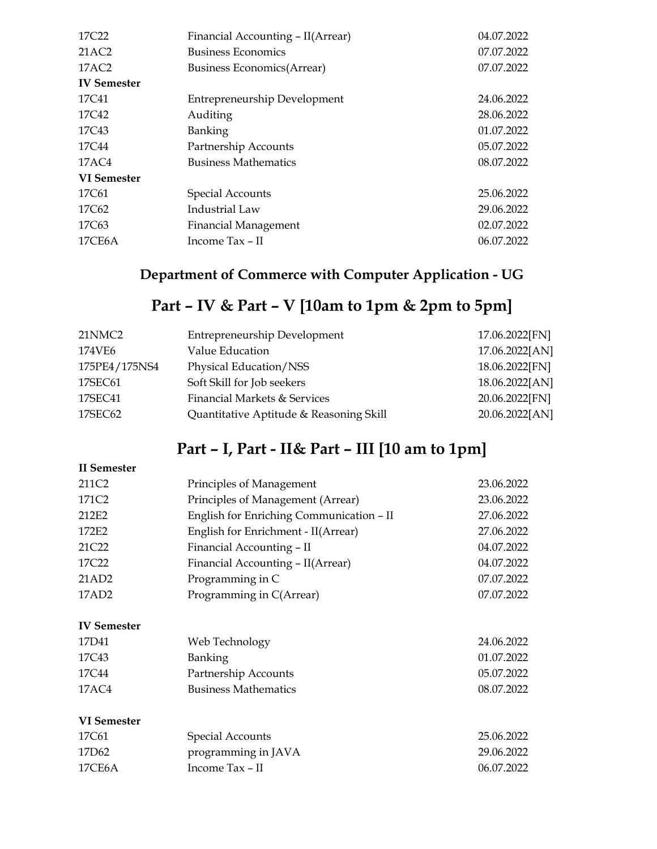| 17C <sub>22</sub>  | Financial Accounting - II(Arrear)   | 04.07.2022 |
|--------------------|-------------------------------------|------------|
| 21AC2              | <b>Business Economics</b>           | 07.07.2022 |
| 17AC2              | <b>Business Economics (Arrear)</b>  | 07.07.2022 |
| <b>IV</b> Semester |                                     |            |
| 17C41              | <b>Entrepreneurship Development</b> | 24.06.2022 |
| 17C42              | Auditing                            | 28.06.2022 |
| 17C43              | <b>Banking</b>                      | 01.07.2022 |
| 17C44              | Partnership Accounts                | 05.07.2022 |
| 17AC4              | <b>Business Mathematics</b>         | 08.07.2022 |
| VI Semester        |                                     |            |
| 17C61              | <b>Special Accounts</b>             | 25.06.2022 |
| 17C62              | Industrial Law                      | 29.06.2022 |
| 17C63              | <b>Financial Management</b>         | 02.07.2022 |
| 17CE6A             | Income Tax - II                     | 06.07.2022 |
|                    |                                     |            |

## **Department of Commerce with Computer Application - UG**

## **Part – IV & Part – V [10am to 1pm & 2pm to 5pm]**

| 21NMC2        | <b>Entrepreneurship Development</b>     | 17.06.2022[FN] |
|---------------|-----------------------------------------|----------------|
| 174VE6        | Value Education                         | 17.06.2022[AN] |
| 175PE4/175NS4 | Physical Education/NSS                  | 18.06.2022[FN] |
| 17SEC61       | Soft Skill for Job seekers              | 18.06.2022[AN] |
| 17SEC41       | Financial Markets & Services            | 20.06.2022[FN] |
| 17SEC62       | Quantitative Aptitude & Reasoning Skill | 20.06.2022[AN] |

## **Part – I, Part - II& Part – III [10 am to 1pm]**

#### **II Semester**

| 211C <sub>2</sub>  | Principles of Management                 | 23.06.2022 |
|--------------------|------------------------------------------|------------|
| 171C <sub>2</sub>  | Principles of Management (Arrear)        | 23.06.2022 |
| 212E2              | English for Enriching Communication - II | 27.06.2022 |
| 172E2              | English for Enrichment - II(Arrear)      | 27.06.2022 |
| 21C22              | Financial Accounting - II                | 04.07.2022 |
| 17C <sub>22</sub>  | Financial Accounting - II(Arrear)        | 04.07.2022 |
| 21AD <sub>2</sub>  | Programming in C                         | 07.07.2022 |
| 17AD2              | Programming in C(Arrear)                 | 07.07.2022 |
| <b>IV Semester</b> |                                          |            |
| 17D41              | Web Technology                           | 24.06.2022 |
| 17C43              | Banking                                  | 01.07.2022 |
| 17C44              | Partnership Accounts                     | 05.07.2022 |
| 17AC4              | <b>Business Mathematics</b>              | 08.07.2022 |

#### **VI Semester**

| 17C61  | Special Accounts    | 25.06.2022 |
|--------|---------------------|------------|
| 17D62  | programming in JAVA | 29.06.2022 |
| 17CE6A | Income Tax – II     | 06.07.2022 |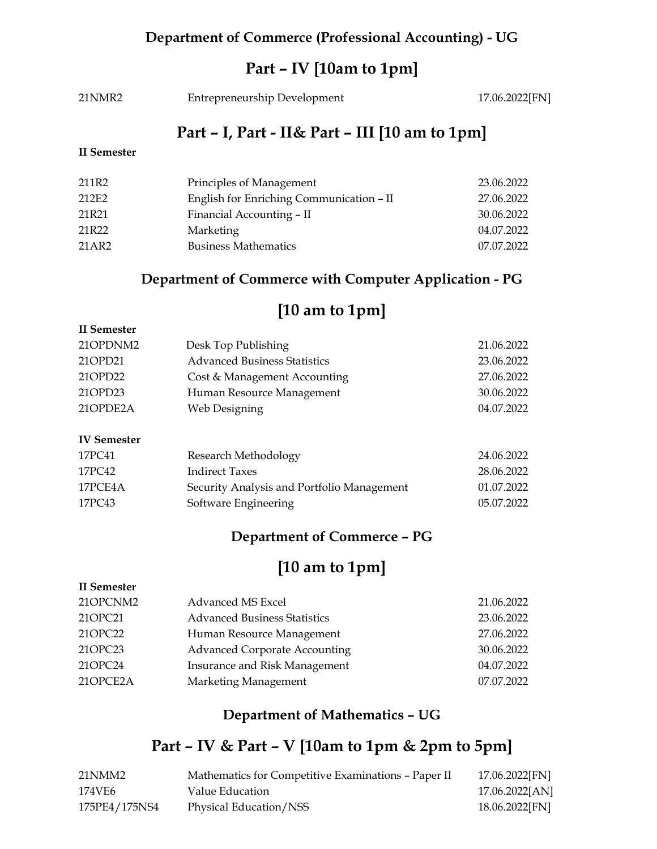#### **Department of Commerce (Professional Accounting) - UG**

## **Part – IV [10am to 1pm]**

21NMR2 Entrepreneurship Development 17.06.2022[FN]

## **Part – I, Part - II& Part – III [10 am to 1pm]**

#### **II Semester**

| 211R2    | Principles of Management                 | 23.06.2022 |
|----------|------------------------------------------|------------|
| 212E2    | English for Enriching Communication - II | 27.06.2022 |
| 21R21    | Financial Accounting - II                | 30.06.2022 |
| 21R22    | Marketing                                | 04.07.2022 |
| 21 A R 2 | <b>Business Mathematics</b>              | 07.07.2022 |

#### **Department of Commerce with Computer Application - PG**

## **[10 am to 1pm]**

| II Semester        |                                     |            |
|--------------------|-------------------------------------|------------|
| 21OPDNM2           | Desk Top Publishing                 | 21.06.2022 |
| 21 OPD 21          | <b>Advanced Business Statistics</b> | 23.06.2022 |
| 21OPD22            | Cost & Management Accounting        | 27.06.2022 |
| 21OPD23            | Human Resource Management           | 30.06.2022 |
| 21OPDE2A           | Web Designing                       | 04.07.2022 |
|                    |                                     |            |
| <b>IV Semester</b> |                                     |            |

| 17PC41  | Research Methodology                       | 24.06.2022 |
|---------|--------------------------------------------|------------|
| 17PC42  | Indirect Taxes                             | 28.06.2022 |
| 17PCE4A | Security Analysis and Portfolio Management | 01.07.2022 |
| 17PC43  | Software Engineering                       | 05.07.2022 |

#### **Department of Commerce – PG**

## **[10 am to 1pm]**

| Advanced MS Excel                    | 21.06.2022 |
|--------------------------------------|------------|
| <b>Advanced Business Statistics</b>  | 23.06.2022 |
| Human Resource Management            | 27.06.2022 |
| <b>Advanced Corporate Accounting</b> | 30.06.2022 |
| Insurance and Risk Management        | 04.07.2022 |
| Marketing Management                 | 07.07.2022 |
|                                      |            |

#### **Department of Mathematics – UG**

| 21NMM2        | Mathematics for Competitive Examinations - Paper II | 17.06.2022[FN] |
|---------------|-----------------------------------------------------|----------------|
| 174VE6        | Value Education                                     | 17.06.2022[AN] |
| 175PE4/175NS4 | Physical Education/NSS                              | 18.06.2022[FN] |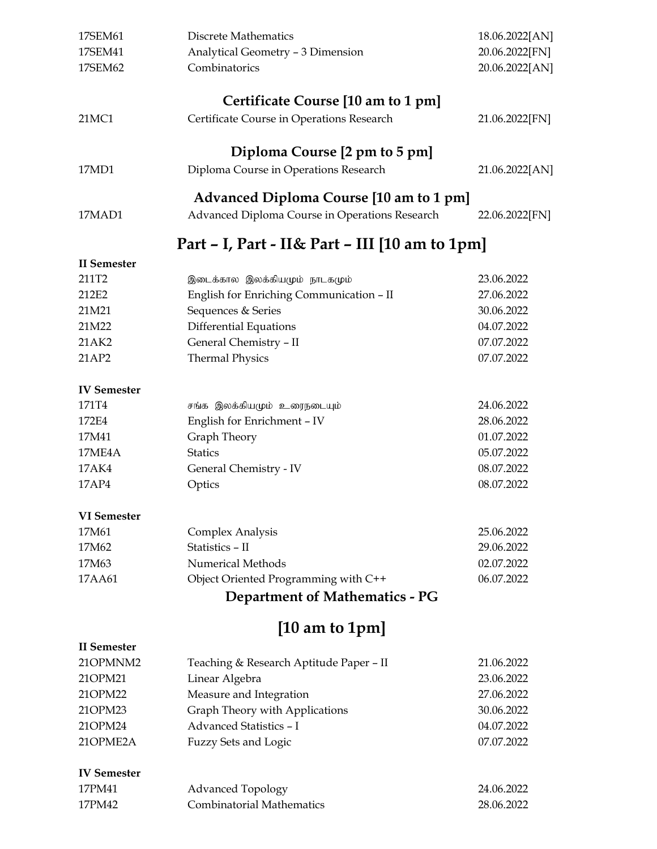| 17SEM61            | <b>Discrete Mathematics</b>                    | 18.06.2022[AN] |
|--------------------|------------------------------------------------|----------------|
| 17SEM41            | Analytical Geometry - 3 Dimension              | 20.06.2022[FN] |
| 17SEM62            | Combinatorics                                  | 20.06.2022[AN] |
|                    |                                                |                |
|                    | Certificate Course [10 am to 1 pm]             |                |
| 21MC1              | Certificate Course in Operations Research      | 21.06.2022[FN] |
|                    | Diploma Course [2 pm to 5 pm]                  |                |
| 17MD1              | Diploma Course in Operations Research          | 21.06.2022[AN] |
|                    | Advanced Diploma Course [10 am to 1 pm]        |                |
| 17MAD1             | Advanced Diploma Course in Operations Research | 22.06.2022[FN] |
|                    | Part - I, Part - II& Part - III [10 am to 1pm] |                |
| <b>II</b> Semester |                                                |                |
| 211T2              | இடைக்கால இலக்கியமும் நாடகமும்                  | 23.06.2022     |
| 212E2              | English for Enriching Communication - II       | 27.06.2022     |
| 21M21              | Sequences & Series                             | 30.06.2022     |
| 21M22              | <b>Differential Equations</b>                  | 04.07.2022     |
| 21AK2              | General Chemistry - II                         | 07.07.2022     |
| 21AP2              | <b>Thermal Physics</b>                         | 07.07.2022     |
| <b>IV Semester</b> |                                                |                |
| 171T4              | சங்க இலக்கியமும் உரைநடையும்                    | 24.06.2022     |
| 172E4              | English for Enrichment - IV                    | 28.06.2022     |
| 17M41              | Graph Theory                                   | 01.07.2022     |
| 17ME4A             | <b>Statics</b>                                 | 05.07.2022     |
| 17AK4              | General Chemistry - IV                         | 08.07.2022     |
| 17AP4              | Optics                                         | 08.07.2022     |
| <b>VI</b> Semester |                                                |                |
| 17M61              | Complex Analysis                               | 25.06.2022     |
| 17M62              | Statistics - II                                | 29.06.2022     |
| 17M63              | <b>Numerical Methods</b>                       | 02.07.2022     |
| 17AA61             | Object Oriented Programming with C++           | 06.07.2022     |
|                    | <b>Department of Mathematics - PG</b>          |                |
|                    | $[10 \text{ am to 1pm}]$                       |                |
| <b>II</b> Semester |                                                |                |
| 21OPMNM2           | Teaching & Research Aptitude Paper - II        | 21.06.2022     |
| 21OPM21            | Linear Algebra                                 | 23.06.2022     |
| 21OPM22            | Measure and Integration                        | 27.06.2022     |
| 21OPM23            | Graph Theory with Applications                 | 30.06.2022     |
| 21OPM24            | <b>Advanced Statistics - I</b>                 | 04.07.2022     |
| 21OPME2A           | Fuzzy Sets and Logic                           | 07.07.2022     |
|                    |                                                |                |
| <b>IV Semester</b> |                                                |                |
| 17PM41             | <b>Advanced Topology</b>                       | 24.06.2022     |
| 17PM42             | <b>Combinatorial Mathematics</b>               | 28.06.2022     |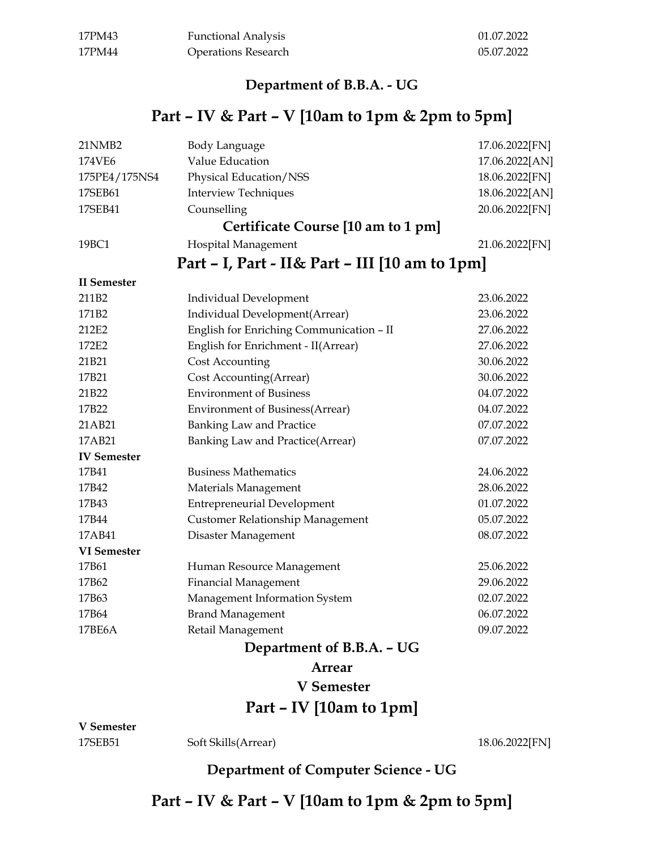| 17PM43 | <b>Functional Analysis</b> | 01.07.2022 |
|--------|----------------------------|------------|
| 17PM44 | <b>Operations Research</b> | 05.07.2022 |

## **Department of B.B.A. - UG**

## **Part – IV & Part – V [10am to 1pm & 2pm to 5pm]**

| 21NMB2             | Body Language                                  | 17.06.2022[FN] |
|--------------------|------------------------------------------------|----------------|
| 174VE6             | Value Education                                | 17.06.2022[AN] |
| 175PE4/175NS4      | Physical Education/NSS                         | 18.06.2022[FN] |
| 17SEB61            | <b>Interview Techniques</b>                    | 18.06.2022[AN] |
| 17SEB41            | Counselling                                    | 20.06.2022[FN] |
|                    | Certificate Course [10 am to 1 pm]             |                |
| 19BC1              | Hospital Management                            | 21.06.2022[FN] |
|                    | Part - I, Part - II& Part - III [10 am to 1pm] |                |
| <b>II</b> Semester |                                                |                |
| 211B2              | Individual Development                         | 23.06.2022     |
| 171B2              | Individual Development(Arrear)                 | 23.06.2022     |
| 212E2              | English for Enriching Communication - II       | 27.06.2022     |
| 172E2              | English for Enrichment - II(Arrear)            | 27.06.2022     |
| 21B21              | Cost Accounting                                | 30.06.2022     |
| 17B21              | Cost Accounting(Arrear)                        | 30.06.2022     |
| 21B22              | <b>Environment of Business</b>                 | 04.07.2022     |
| 17B22              | <b>Environment of Business(Arrear)</b>         | 04.07.2022     |
| 21AB21             | <b>Banking Law and Practice</b>                | 07.07.2022     |
| 17AB21             | Banking Law and Practice(Arrear)               | 07.07.2022     |
| <b>IV Semester</b> |                                                |                |
| 17B41              | <b>Business Mathematics</b>                    | 24.06.2022     |
| 17B42              | Materials Management                           | 28.06.2022     |
| 17B43              | <b>Entrepreneurial Development</b>             | 01.07.2022     |
| 17B44              | Customer Relationship Management               | 05.07.2022     |
| 17AB41             | Disaster Management                            | 08.07.2022     |
| VI Semester        |                                                |                |
| 17B61              | Human Resource Management                      | 25.06.2022     |
| 17B62              | <b>Financial Management</b>                    | 29.06.2022     |
| 17B63              | Management Information System                  | 02.07.2022     |
| 17B64              | <b>Brand Management</b>                        | 06.07.2022     |
| 17BE6A             | Retail Management                              | 09.07.2022     |
|                    | Department of B.B.A. - UG                      |                |
|                    | Arrear                                         |                |
|                    | <b>V</b> Semester                              |                |
|                    | Part – IV [10am to 1pm]                        |                |

**V Semester** 

17SEB51 Soft Skills(Arrear) 18.06.2022[FN]

#### **Department of Computer Science - UG**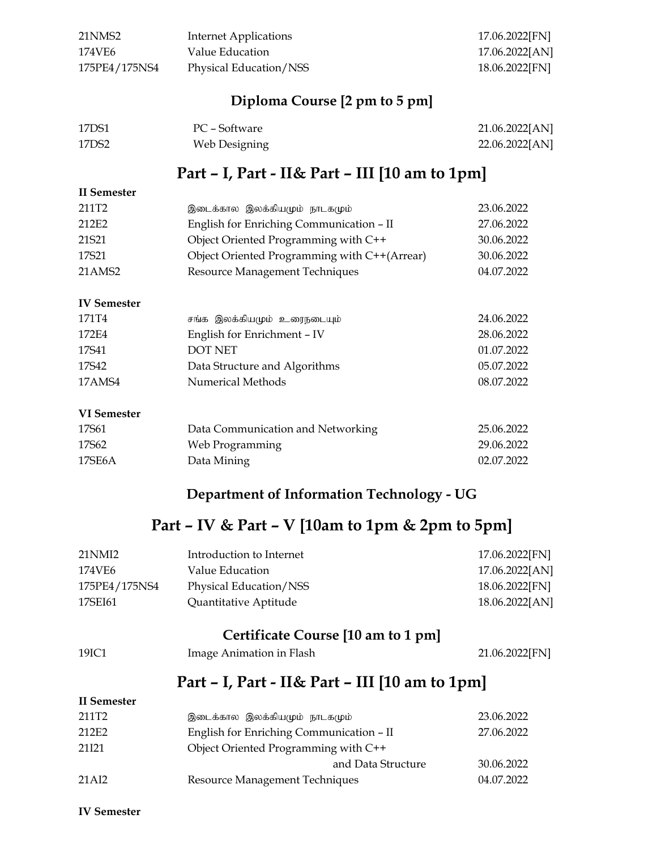| 21NMS2        | <b>Internet Applications</b> | 17.06.2022[FN] |
|---------------|------------------------------|----------------|
| 174VE6        | Value Education              | 17.06.2022[AN] |
| 175PE4/175NS4 | Physical Education/NSS       | 18.06.2022[FN] |

#### **Diploma Course [2 pm to 5 pm]**

| 17DS1 | PC – Software | 21.06.2022[AN] |
|-------|---------------|----------------|
| 17DS2 | Web Designing | 22.06.2022[AN] |

## **Part – I, Part - II& Part – III [10 am to 1pm]**

#### **II Semester**

| 211T2             | இடைக்கால இலக்கியமும் நாடகமும்                | 23.06.2022 |
|-------------------|----------------------------------------------|------------|
| 212F <sub>2</sub> | English for Enriching Communication - II     | 27.06.2022 |
| 21S21             | Object Oriented Programming with C++         | 30.06.2022 |
| 17S21             | Object Oriented Programming with C++(Arrear) | 30.06.2022 |
| 21AMS2            | Resource Management Techniques               | 04.07.2022 |
|                   |                                              |            |

#### **IV Semester**

| 171T4  | சங்க இலக்கியமும் உரைநடையும்   | 24.06.2022 |
|--------|-------------------------------|------------|
| 172E4  | English for Enrichment - IV   | 28.06.2022 |
| 17S41  | DOT NET                       | 01.07.2022 |
| 17S42  | Data Structure and Algorithms | 05.07.2022 |
| 17AMS4 | Numerical Methods             | 08.07.2022 |

#### **VI Semester**

| 17S61  | Data Communication and Networking | 25.06.2022 |
|--------|-----------------------------------|------------|
| 17S62  | Web Programming                   | 29.06.2022 |
| 17SE6A | Data Mining                       | 02.07.2022 |

#### **Department of Information Technology - UG**

#### **Part – IV & Part – V [10am to 1pm & 2pm to 5pm]**

| 21 NMI2       | Introduction to Internet | 17.06.2022[FN] |
|---------------|--------------------------|----------------|
| 174VE6        | Value Education          | 17.06.2022[AN] |
| 175PE4/175NS4 | Physical Education/NSS   | 18.06.2022[FN] |
| 17SEI61       | Quantitative Aptitude    | 18.06.2022[AN] |

#### **Certificate Course [10 am to 1 pm]**

| 19IC1 | Image Animation in Flash | 21.06.2022[FN] |
|-------|--------------------------|----------------|
|-------|--------------------------|----------------|

## **Part – I, Part - II& Part – III [10 am to 1pm]**

| II Semester       |                                          |            |
|-------------------|------------------------------------------|------------|
| 211T <sub>2</sub> | இடைக்கால இலக்கியமும் நாடகமும்            | 23.06.2022 |
| 212E2             | English for Enriching Communication - II | 27.06.2022 |
| 21121             | Object Oriented Programming with C++     |            |
|                   | and Data Structure                       | 30.06.2022 |
| 21 A I 2          | Resource Management Techniques           | 04.07.2022 |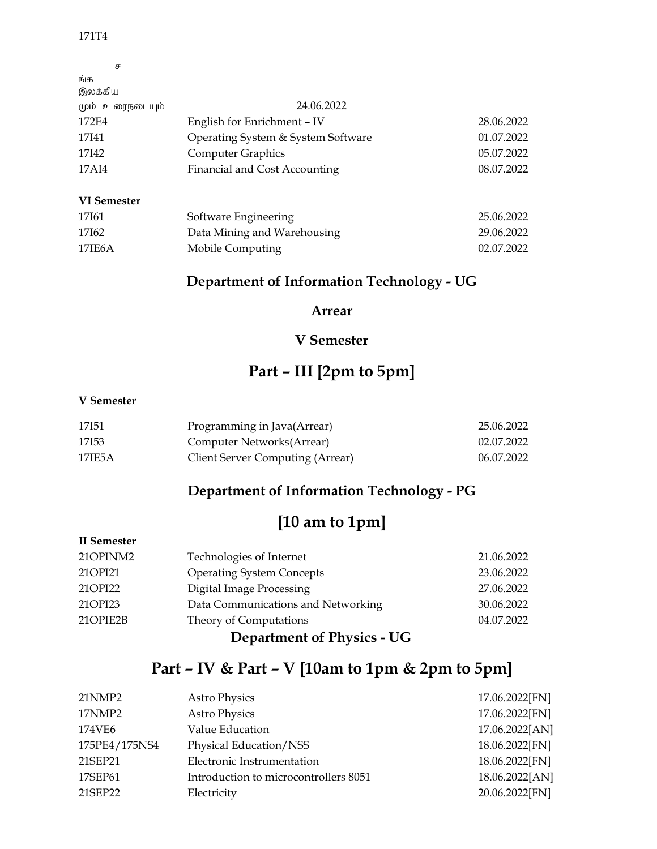#### 171T4

| ச                  |                                    |            |
|--------------------|------------------------------------|------------|
| ங்க                |                                    |            |
| இலக்கிய            |                                    |            |
| மும் உரைநடையும்    | 24.06.2022                         |            |
| 172F4              | English for Enrichment - IV        | 28.06.2022 |
| 17141              | Operating System & System Software | 01.07.2022 |
| 17142              | <b>Computer Graphics</b>           | 05.07.2022 |
| 17AI4              | Financial and Cost Accounting      | 08.07.2022 |
|                    |                                    |            |
| <b>VI</b> Semester |                                    |            |
| 17161              | Software Engineering               | 25.06.2022 |
| 17162              | Data Mining and Warehousing        | 29.06.2022 |

17IE6A Mobile Computing 02.07.2022

#### **Department of Information Technology - UG**

#### **Arrear**

#### **V Semester**

## **Part – III [2pm to 5pm]**

#### **V Semester**

| 17151  | Programming in Java(Arrear)      | 25.06.2022 |
|--------|----------------------------------|------------|
| 17153  | Computer Networks(Arrear)        | 02.07.2022 |
| 17IE5A | Client Server Computing (Arrear) | 06.07.2022 |

#### **Department of Information Technology - PG**

#### **[10 am to 1pm]**

#### **II Semester**

| 21OPINM2                          | Technologies of Internet           | 21.06.2022 |
|-----------------------------------|------------------------------------|------------|
| 21OPI21                           | <b>Operating System Concepts</b>   | 23.06.2022 |
| 21OPI22                           | <b>Digital Image Processing</b>    | 27.06.2022 |
| 21OPI23                           | Data Communications and Networking | 30.06.2022 |
| 21OPIE2B                          | Theory of Computations             | 04.07.2022 |
| <b>Department of Physics - UG</b> |                                    |            |

| <b>Astro Physics</b>                  | 17.06.2022[FN] |
|---------------------------------------|----------------|
| <b>Astro Physics</b>                  | 17.06.2022[FN] |
| Value Education                       | 17.06.2022[AN] |
| Physical Education/NSS                | 18.06.2022[FN] |
| Electronic Instrumentation            | 18.06.2022[FN] |
| Introduction to microcontrollers 8051 | 18.06.2022[AN] |
| Electricity                           | 20.06.2022[FN] |
|                                       |                |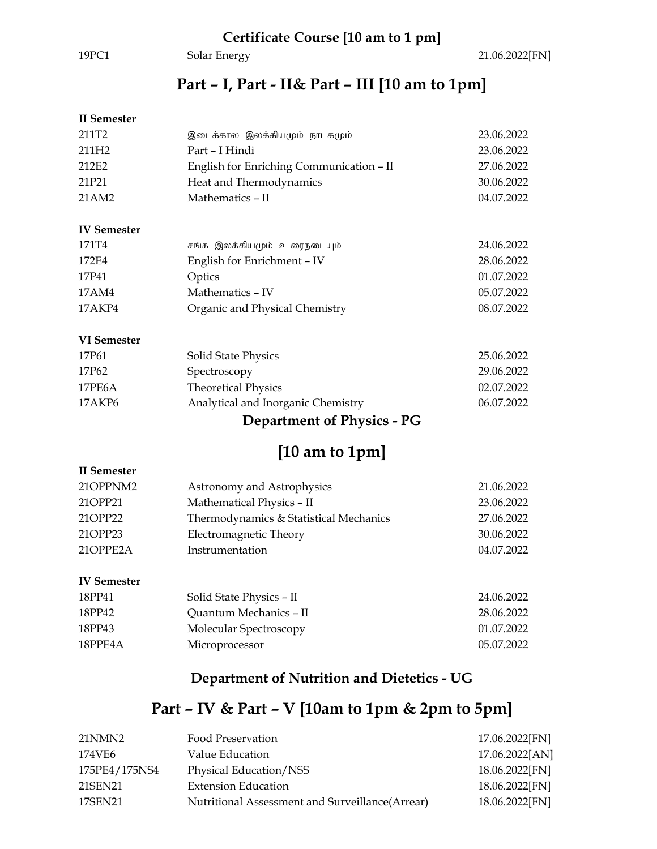## **Certificate Course [10 am to 1 pm]**

19PC1 Solar Energy 21.06.2022[FN]

## **Part – I, Part - II& Part – III [10 am to 1pm]**

| 211T <sub>2</sub>  | இடைக்கால இலக்கியமும் நாடகமும்            | 23.06.2022 |
|--------------------|------------------------------------------|------------|
| 211H <sub>2</sub>  | Part - I Hindi                           | 23.06.2022 |
| 212F <sub>2</sub>  | English for Enriching Communication - II | 27.06.2022 |
| 21P21              | Heat and Thermodynamics                  | 30.06.2022 |
| 21AM2              | Mathematics - II                         | 04.07.2022 |
| <b>IV</b> Semester |                                          |            |
| 171T4              | சங்க இலக்கியமும் உரைநடையும்              | 24.06.2022 |
| 172E4              | English for Enrichment - IV              | 28.06.2022 |
| 17P41              | Optics                                   | 01.07.2022 |
| 17AM4              | Mathematics - IV                         | 05.07.2022 |
| 17AKP4             | Organic and Physical Chemistry           | 08.07.2022 |
| <b>VI</b> Semester |                                          |            |
| 17P61              | <b>Solid State Physics</b>               | 25.06.2022 |
| 17P62              | Spectroscopy                             | 29.06.2022 |
| 17PE6A             | <b>Theoretical Physics</b>               | 02.07.2022 |
| 17AKP6             | Analytical and Inorganic Chemistry       | 06.07.2022 |
|                    | <b>Department of Physics - PG</b>        |            |
|                    | $[10 \text{ am to 1pm}]$                 |            |
| <b>II</b> Semester |                                          |            |
| 21OPPNM2           | Astronomy and Astrophysics               | 21.06.2022 |
| 21OPP21            | Mathematical Physics - II                | 23.06.2022 |
| 21OPP22            | Thermodynamics & Statistical Mechanics   | 27.06.2022 |
| 21OPP23            | Electromagnetic Theory                   | 30.06.2022 |
| 21OPPE2A           | Instrumentation                          | 04.07.2022 |
|                    |                                          |            |

#### **IV Semester**

| 18PP41  | Solid State Physics - II | 24.06.2022 |
|---------|--------------------------|------------|
| 18PP42  | Quantum Mechanics - II   | 28.06.2022 |
| 18PP43  | Molecular Spectroscopy   | 01.07.2022 |
| 18PPE4A | Microprocessor           | 05.07.2022 |

#### **Department of Nutrition and Dietetics - UG**

| 21NMN2        | Food Preservation                                | 17.06.2022[FN] |
|---------------|--------------------------------------------------|----------------|
| 174VE6        | Value Education                                  | 17.06.2022[AN] |
| 175PE4/175NS4 | Physical Education/NSS                           | 18.06.2022[FN] |
| 21SEN21       | <b>Extension Education</b>                       | 18.06.2022[FN] |
| 17SEN21       | Nutritional Assessment and Surveillance (Arrear) | 18.06.2022[FN] |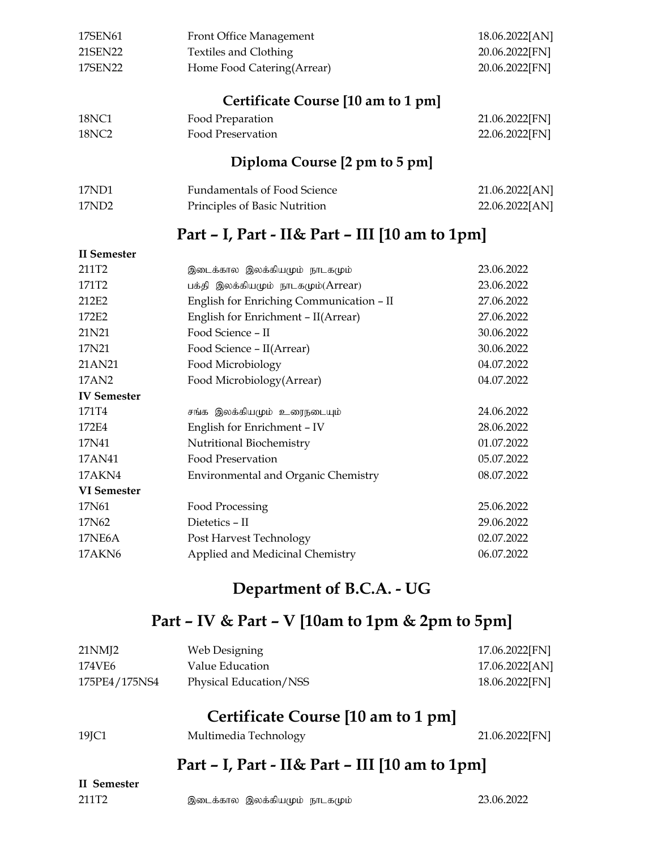| 17SEN61                                        | Front Office Management                    | 18.06.2022[AN] |
|------------------------------------------------|--------------------------------------------|----------------|
| 21SEN22                                        | <b>Textiles and Clothing</b>               | 20.06.2022[FN] |
| 17SEN22                                        | Home Food Catering(Arrear)                 | 20.06.2022[FN] |
|                                                |                                            |                |
|                                                | Certificate Course [10 am to 1 pm]         |                |
| 18NC1                                          | Food Preparation                           | 21.06.2022[FN] |
| <b>18NC2</b>                                   | <b>Food Preservation</b>                   | 22.06.2022[FN] |
|                                                | Diploma Course [2 pm to 5 pm]              |                |
| 17ND1                                          | <b>Fundamentals of Food Science</b>        | 21.06.2022[AN] |
| 17ND <sub>2</sub>                              | Principles of Basic Nutrition              | 22.06.2022[AN] |
| Part - I, Part - II& Part - III [10 am to 1pm] |                                            |                |
| <b>II</b> Semester                             |                                            |                |
| 211T2                                          |                                            | 23.06.2022     |
|                                                | இடைக்கால இலக்கியமும் நாடகமும்              |                |
| 171T <sub>2</sub>                              | பக்தி இலக்கியமும் நாடகமும்(Arrear)         | 23.06.2022     |
| 212E2                                          | English for Enriching Communication - II   | 27.06.2022     |
| 172E2                                          | English for Enrichment - II(Arrear)        | 27.06.2022     |
| 21N21                                          | Food Science - II                          | 30.06.2022     |
| 17N21                                          | Food Science - II(Arrear)                  | 30.06.2022     |
| 21AN21                                         | Food Microbiology                          | 04.07.2022     |
| 17AN2                                          | Food Microbiology (Arrear)                 | 04.07.2022     |
| <b>IV Semester</b>                             |                                            |                |
| 171T4                                          | சங்க இலக்கியமும் உரைநடையும்                | 24.06.2022     |
| 172E4                                          | English for Enrichment - IV                | 28.06.2022     |
| 17N41                                          | Nutritional Biochemistry                   | 01.07.2022     |
| 17AN41                                         | <b>Food Preservation</b>                   | 05.07.2022     |
| 17AKN4                                         | <b>Environmental and Organic Chemistry</b> | 08.07.2022     |
| <b>VI</b> Semester                             |                                            |                |
| 17N61                                          | Food Processing                            | 25.06.2022     |
| 17N62                                          | Dietetics - II                             | 29.06.2022     |
| 17NE6A                                         | Post Harvest Technology                    | 02.07.2022     |
| 17AKN6                                         | Applied and Medicinal Chemistry            | 06.07.2022     |
|                                                |                                            |                |

## **Department of B.C.A. - UG**

## **Part – IV & Part – V [10am to 1pm & 2pm to 5pm]**

| 21NMJ2        | Web Designing          | 17.06.2022[FN] |
|---------------|------------------------|----------------|
| 174VE6        | Value Education        | 17.06.2022[AN] |
| 175PE4/175NS4 | Physical Education/NSS | 18.06.2022[FN] |

## **Certificate Course [10 am to 1 pm]**

| 19JC1<br>Multimedia Technology | 21.06.2022[FN] |
|--------------------------------|----------------|
|--------------------------------|----------------|

## **Part – I, Part - II& Part – III [10 am to 1pm]**

# **II Semester**

211T2 ,ilf;fhy ,yf;fpaKk; ehlfKk; 23.06.2022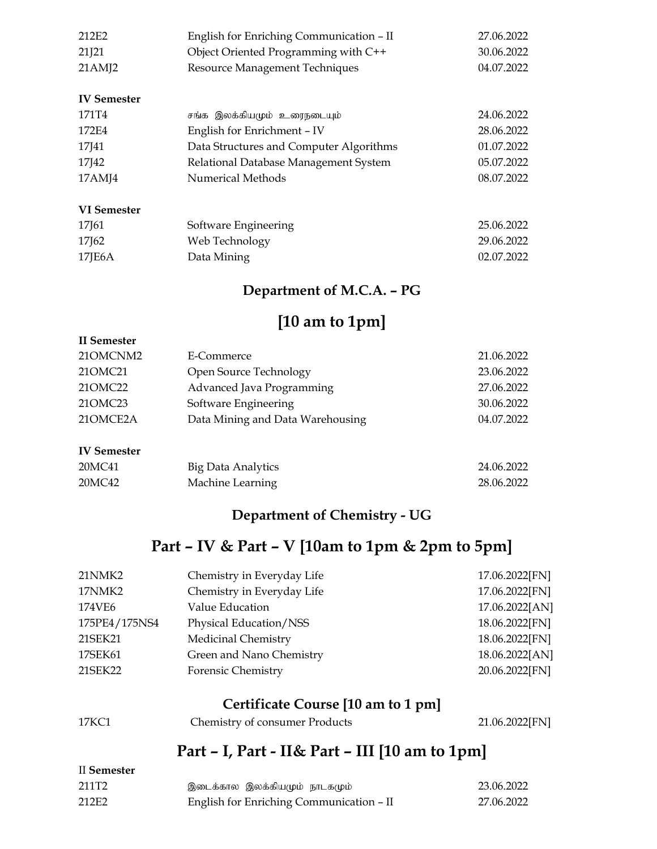| 212E2              | English for Enriching Communication - II | 27.06.2022 |
|--------------------|------------------------------------------|------------|
| 21]21              | Object Oriented Programming with C++     | 30.06.2022 |
| 21AMJ2             | Resource Management Techniques           | 04.07.2022 |
|                    |                                          |            |
| <b>IV</b> Semester |                                          |            |
| 171T4              | சங்க இலக்கியமும் உரைநடையும்              | 24.06.2022 |
| 172F4              | English for Enrichment - IV              | 28.06.2022 |
| 17J41              | Data Structures and Computer Algorithms  | 01.07.2022 |
| 17142              | Relational Database Management System    | 05.07.2022 |
| 17AMJ4             | Numerical Methods                        | 08.07.2022 |
| <b>VI</b> Semester |                                          |            |
| 17161              | Software Engineering                     | 25.06.2022 |

| 1/101  | Software Engineering | 23.00.2022 |
|--------|----------------------|------------|
| 17J62  | Web Technology       | 29.06.2022 |
| 17JE6A | Data Mining          | 02.07.2022 |

#### **Department of M.C.A. – PG**

## **[10 am to 1pm]**

| <b>II</b> Semester |                                  |            |
|--------------------|----------------------------------|------------|
| 210MCNM2           | E-Commerce                       | 21.06.2022 |
| 210MC21            | Open Source Technology           | 23.06.2022 |
| 210MC22            | Advanced Java Programming        | 27.06.2022 |
| 210MC23            | Software Engineering             | 30.06.2022 |
| 21OMCE2A           | Data Mining and Data Warehousing | 04.07.2022 |
| <b>IV Semester</b> |                                  |            |

| 20MC41 | Big Data Analytics | 24.06.2022 |
|--------|--------------------|------------|
| 20MC42 | Machine Learning   | 28.06.2022 |

#### **Department of Chemistry - UG**

## **Part – IV & Part – V [10am to 1pm & 2pm to 5pm]**

| 21NMK2        | Chemistry in Everyday Life | 17.06.2022[FN] |
|---------------|----------------------------|----------------|
| 17NMK2        | Chemistry in Everyday Life | 17.06.2022[FN] |
| 174VE6        | Value Education            | 17.06.2022[AN] |
| 175PE4/175NS4 | Physical Education/NSS     | 18.06.2022[FN] |
| 21SEK21       | Medicinal Chemistry        | 18.06.2022[FN] |
| 17SEK61       | Green and Nano Chemistry   | 18.06.2022[AN] |
| 21SEK22       | Forensic Chemistry         | 20.06.2022[FN] |

#### **Certificate Course [10 am to 1 pm]**

17KC1 Chemistry of consumer Products 21.06.2022[FN]

II **Semester** 

## **Part – I, Part - II& Part – III [10 am to 1pm]**

| 211T <sub>2</sub> | இடைக்கால இலக்கியமும் நாடகமும்            | 23.06.2022 |
|-------------------|------------------------------------------|------------|
| 212E2             | English for Enriching Communication - II | 27.06.2022 |